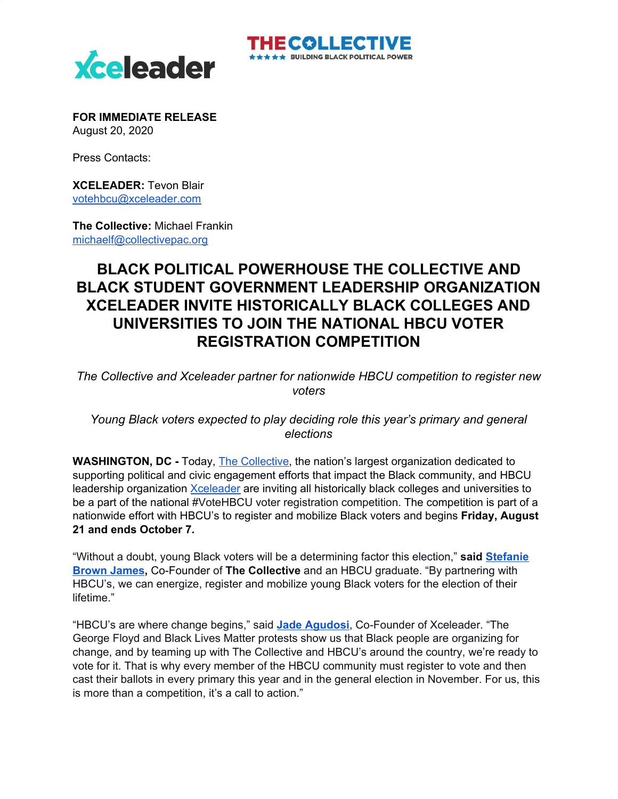

**FOR IMMEDIATE RELEASE** August 20, 2020

Press Contacts:

**XCELEADER:** Tevon Blair [votehbcu@xceleader.com](mailto:votehbcu@xceleader.com)

**The Collective:** Michael Frankin [michaelf@collectivepac.org](mailto:michaelf@collectivepac.org)

## **BLACK POLITICAL POWERHOUSE THE COLLECTIVE AND BLACK STUDENT GOVERNMENT LEADERSHIP ORGANIZATION XCELEADER INVITE HISTORICALLY BLACK COLLEGES AND UNIVERSITIES TO JOIN THE NATIONAL HBCU VOTER REGISTRATION COMPETITION**

HECOLLECTI

 $\star \star \star$  BUILDING BLACK POLITICAL POWER

*The Collective and Xceleader partner for nationwide HBCU competition to register new voters*

*Young Black voters expected to play deciding role this year's primary and general elections*

**WASHINGTON, DC -** Today, The [Collective](https://collectivepac.org/), the nation's largest organization dedicated to supporting political and civic engagement efforts that impact the Black community, and HBCU leadership organization [Xceleader](https://www.xceleader.com/) are inviting all historically black colleges and universities to be a part of the national #VoteHBCU voter registration competition. The competition is part of a nationwide effort with HBCU's to register and mobilize Black voters and begins **Friday, August 21 and ends October 7.**

"Without a doubt, young Black voters will be a determining factor this election," **said [Stefanie](https://collectivepac.org/about/) [Brown](https://collectivepac.org/about/) James,** Co-Founder of **The Collective** and an HBCU graduate. "By partnering with HBCU's, we can energize, register and mobilize young Black voters for the election of their lifetime."

"HBCU's are where change begins," said **Jade [Agudosi](https://www.xceleader.com/meet-our-founders)**, Co-Founder of Xceleader. "The George Floyd and Black Lives Matter protests show us that Black people are organizing for change, and by teaming up with The Collective and HBCU's around the country, we're ready to vote for it. That is why every member of the HBCU community must register to vote and then cast their ballots in every primary this year and in the general election in November. For us, this is more than a competition, it's a call to action."